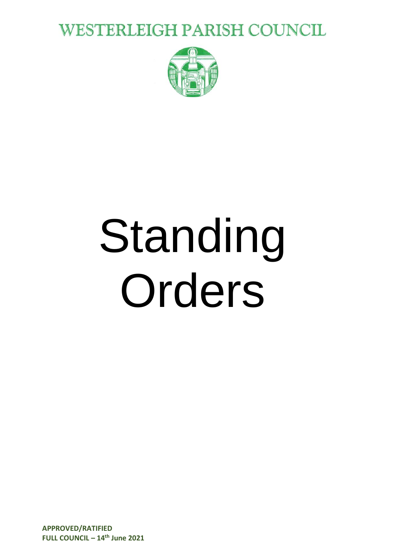**WESTERLEIGH PARISH COUNCIL** 



# Standing Orders

**APPROVED/RATIFIED FULL COUNCIL – 14th June 2021**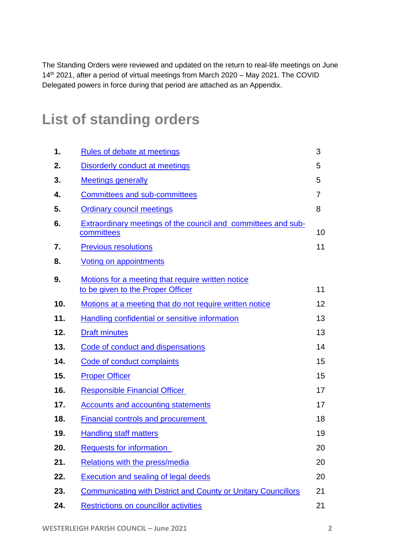The Standing Orders were reviewed and updated on the return to real-life meetings on June 14<sup>th</sup> 2021, after a period of virtual meetings from March 2020 - May 2021. The COVID Delegated powers in force during that period are attached as an Appendix.

#### **List of standing orders**

| 1.  | Rules of debate at meetings                                                 | 3  |
|-----|-----------------------------------------------------------------------------|----|
| 2.  | <b>Disorderly conduct at meetings</b>                                       | 5  |
| 3.  | <b>Meetings generally</b>                                                   | 5  |
| 4.  | <b>Committees and sub-committees</b>                                        | 7  |
| 5.  | <b>Ordinary council meetings</b>                                            | 8  |
| 6.  | Extraordinary meetings of the council and committees and sub-<br>committees | 10 |
| 7.  | <b>Previous resolutions</b>                                                 | 11 |
| 8.  | <b>Voting on appointments</b>                                               |    |
| 9.  | Motions for a meeting that require written notice                           |    |
|     | to be given to the Proper Officer                                           | 11 |
| 10. | Motions at a meeting that do not require written notice                     | 12 |
| 11. | Handling confidential or sensitive information                              | 13 |
| 12. | <b>Draft minutes</b>                                                        | 13 |
| 13. | Code of conduct and dispensations                                           | 14 |
| 14. | Code of conduct complaints                                                  | 15 |
| 15. | <b>Proper Officer</b>                                                       | 15 |
| 16. | <b>Responsible Financial Officer</b>                                        | 17 |
| 17. | <b>Accounts and accounting statements</b>                                   | 17 |
| 18. | <b>Financial controls and procurement</b>                                   | 18 |
| 19. | <b>Handling staff matters</b>                                               | 19 |
| 20. | <b>Requests for information</b>                                             | 20 |
| 21. | Relations with the press/media                                              | 20 |
| 22. | Execution and sealing of legal deeds                                        | 20 |
| 23. | <b>Communicating with District and County or Unitary Councillors</b>        | 21 |
| 24. | <b>Restrictions on councillor activities</b>                                | 21 |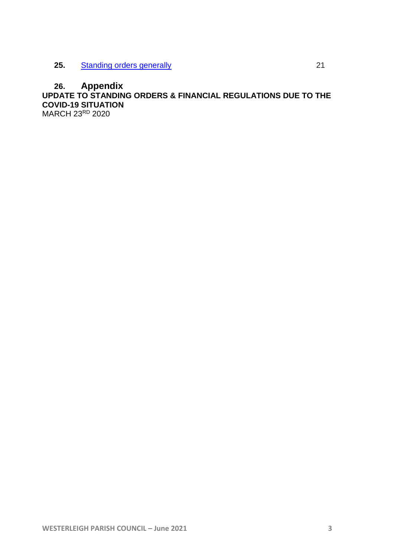#### **26. Appendix UPDATE TO STANDING ORDERS & FINANCIAL REGULATIONS DUE TO THE COVID-19 SITUATION** MARCH 23RD 2020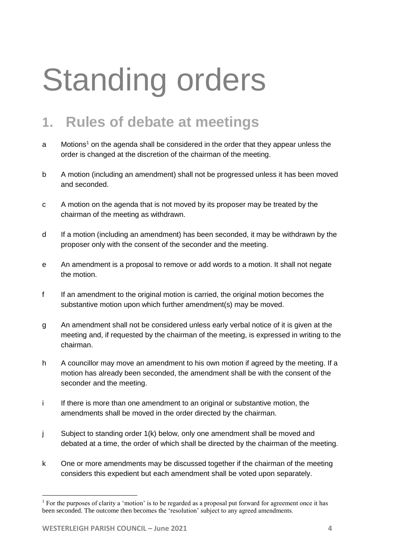## Standing orders

#### <span id="page-3-0"></span>**1. Rules of debate at meetings**

- a Motions<sup>1</sup> on the agenda shall be considered in the order that they appear unless the order is changed at the discretion of the chairman of the meeting.
- b A motion (including an amendment) shall not be progressed unless it has been moved and seconded.
- c A motion on the agenda that is not moved by its proposer may be treated by the chairman of the meeting as withdrawn.
- d If a motion (including an amendment) has been seconded, it may be withdrawn by the proposer only with the consent of the seconder and the meeting.
- e An amendment is a proposal to remove or add words to a motion. It shall not negate the motion.
- f If an amendment to the original motion is carried, the original motion becomes the substantive motion upon which further amendment(s) may be moved.
- g An amendment shall not be considered unless early verbal notice of it is given at the meeting and, if requested by the chairman of the meeting, is expressed in writing to the chairman.
- h A councillor may move an amendment to his own motion if agreed by the meeting. If a motion has already been seconded, the amendment shall be with the consent of the seconder and the meeting.
- i If there is more than one amendment to an original or substantive motion, the amendments shall be moved in the order directed by the chairman.
- j Subject to standing order 1(k) below, only one amendment shall be moved and debated at a time, the order of which shall be directed by the chairman of the meeting.
- k One or more amendments may be discussed together if the chairman of the meeting considers this expedient but each amendment shall be voted upon separately.

 $\overline{a}$ 

<sup>&</sup>lt;sup>1</sup> For the purposes of clarity a 'motion' is to be regarded as a proposal put forward for agreement once it has been seconded. The outcome then becomes the 'resolution' subject to any agreed amendments.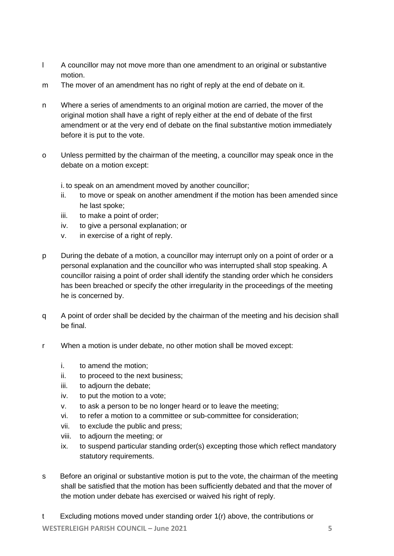- l A councillor may not move more than one amendment to an original or substantive motion.
- m The mover of an amendment has no right of reply at the end of debate on it.
- n Where a series of amendments to an original motion are carried, the mover of the original motion shall have a right of reply either at the end of debate of the first amendment or at the very end of debate on the final substantive motion immediately before it is put to the vote.
- o Unless permitted by the chairman of the meeting, a councillor may speak once in the debate on a motion except:

i. to speak on an amendment moved by another councillor;

- ii. to move or speak on another amendment if the motion has been amended since he last spoke;
- iii. to make a point of order;
- iv. to give a personal explanation; or
- v. in exercise of a right of reply.
- p During the debate of a motion, a councillor may interrupt only on a point of order or a personal explanation and the councillor who was interrupted shall stop speaking. A councillor raising a point of order shall identify the standing order which he considers has been breached or specify the other irregularity in the proceedings of the meeting he is concerned by.
- q A point of order shall be decided by the chairman of the meeting and his decision shall be final.
- r When a motion is under debate, no other motion shall be moved except:
	- i. to amend the motion;
	- ii. to proceed to the next business;
	- iii. to adjourn the debate;
	- iv. to put the motion to a vote;
	- v. to ask a person to be no longer heard or to leave the meeting;
	- vi. to refer a motion to a committee or sub-committee for consideration;
	- vii. to exclude the public and press;
	- viii. to adjourn the meeting; or
	- ix. to suspend particular standing order(s) excepting those which reflect mandatory statutory requirements.
- s Before an original or substantive motion is put to the vote, the chairman of the meeting shall be satisfied that the motion has been sufficiently debated and that the mover of the motion under debate has exercised or waived his right of reply.
- t Excluding motions moved under standing order 1(r) above, the contributions or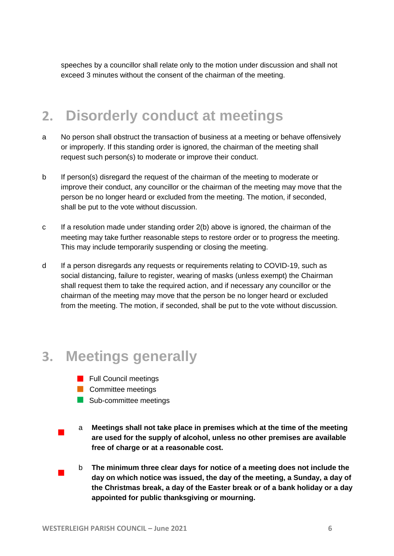speeches by a councillor shall relate only to the motion under discussion and shall not exceed 3 minutes without the consent of the chairman of the meeting.

#### <span id="page-5-0"></span>**2. Disorderly conduct at meetings**

- a No person shall obstruct the transaction of business at a meeting or behave offensively or improperly. If this standing order is ignored, the chairman of the meeting shall request such person(s) to moderate or improve their conduct.
- b If person(s) disregard the request of the chairman of the meeting to moderate or improve their conduct, any councillor or the chairman of the meeting may move that the person be no longer heard or excluded from the meeting. The motion, if seconded, shall be put to the vote without discussion.
- c If a resolution made under standing order 2(b) above is ignored, the chairman of the meeting may take further reasonable steps to restore order or to progress the meeting. This may include temporarily suspending or closing the meeting.
- d If a person disregards any requests or requirements relating to COVID-19, such as social distancing, failure to register, wearing of masks (unless exempt) the Chairman shall request them to take the required action, and if necessary any councillor or the chairman of the meeting may move that the person be no longer heard or excluded from the meeting. The motion, if seconded, shall be put to the vote without discussion.

#### <span id="page-5-1"></span>**3. Meetings generally**

- **Full Council meetings**
- **Committee meetings**
- Sub-committee meetings
- $\overline{\phantom{a}}$ a **Meetings shall not take place in premises which at the time of the meeting are used for the supply of alcohol, unless no other premises are available free of charge or at a reasonable cost.**
- $\overline{\phantom{a}}$ b **The minimum three clear days for notice of a meeting does not include the day on which notice was issued, the day of the meeting, a Sunday, a day of the Christmas break, a day of the Easter break or of a bank holiday or a day appointed for public thanksgiving or mourning.**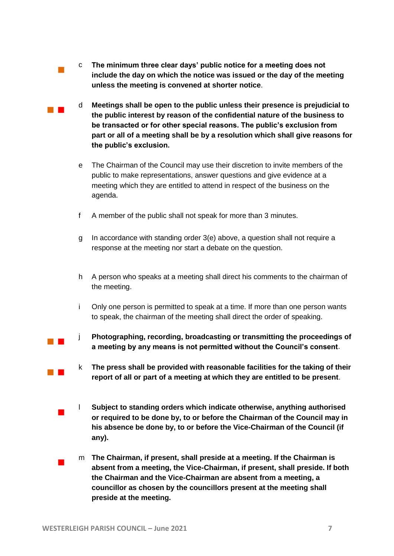- c **The minimum three clear days' public notice for a meeting does not include the day on which the notice was issued or the day of the meeting unless the meeting is convened at shorter notice**.
- d **Meetings shall be open to the public unless their presence is prejudicial to the public interest by reason of the confidential nature of the business to be transacted or for other special reasons. The public's exclusion from part or all of a meeting shall be by a resolution which shall give reasons for the public's exclusion.**
- e The Chairman of the Council may use their discretion to invite members of the public to make representations, answer questions and give evidence at a meeting which they are entitled to attend in respect of the business on the agenda.
- f A member of the public shall not speak for more than 3 minutes.
- g In accordance with standing order 3(e) above, a question shall not require a response at the meeting nor start a debate on the question.
- h A person who speaks at a meeting shall direct his comments to the chairman of the meeting.
- i Only one person is permitted to speak at a time. If more than one person wants to speak, the chairman of the meeting shall direct the order of speaking.
- $\mathcal{L}^{\text{max}}_{\text{max}}$ j **Photographing, recording, broadcasting or transmitting the proceedings of a meeting by any means is not permitted without the Council's consent**.
	- k **The press shall be provided with reasonable facilities for the taking of their report of all or part of a meeting at which they are entitled to be present**.
	- $\overline{\phantom{a}}$ l **Subject to standing orders which indicate otherwise, anything authorised or required to be done by, to or before the Chairman of the Council may in his absence be done by, to or before the Vice-Chairman of the Council (if any).**
	- $\overline{\phantom{a}}$ m **The Chairman, if present, shall preside at a meeting. If the Chairman is absent from a meeting, the Vice-Chairman, if present, shall preside. If both the Chairman and the Vice-Chairman are absent from a meeting, a councillor as chosen by the councillors present at the meeting shall preside at the meeting.**

 $\mathbb{R}^2$ 

 $\mathbb{R}^n$ 

 $\mathbb{R}^n$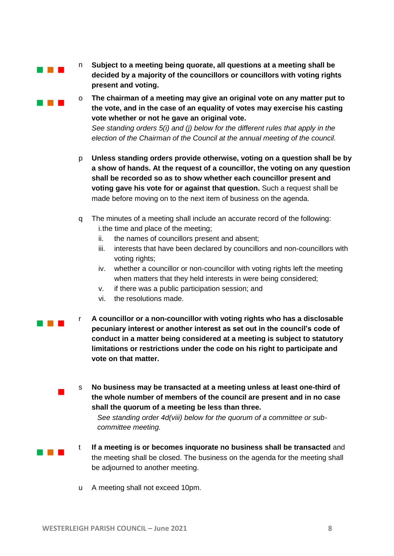**The Company** 

**Contract Contract** 

- n **Subject to a meeting being quorate, all questions at a meeting shall be decided by a majority of the councillors or councillors with voting rights present and voting.**
- o **The chairman of a meeting may give an original vote on any matter put to the vote, and in the case of an equality of votes may exercise his casting vote whether or not he gave an original vote.**

*See standing orders 5(i) and (j) below for the different rules that apply in the election of the Chairman of the Council at the annual meeting of the council.*

- p **Unless standing orders provide otherwise, voting on a question shall be by a show of hands. At the request of a councillor, the voting on any question shall be recorded so as to show whether each councillor present and voting gave his vote for or against that question.** Such a request shall be made before moving on to the next item of business on the agenda.
- q The minutes of a meeting shall include an accurate record of the following: i.the time and place of the meeting;
	- ii. the names of councillors present and absent;
	- iii. interests that have been declared by councillors and non-councillors with voting rights;
	- iv. whether a councillor or non-councillor with voting rights left the meeting when matters that they held interests in were being considered;
	- v. if there was a public participation session; and
	- vi. the resolutions made.

**The Common** 

 $\blacksquare$ 

a na m

r **A councillor or a non-councillor with voting rights who has a disclosable pecuniary interest or another interest as set out in the council's code of conduct in a matter being considered at a meeting is subject to statutory limitations or restrictions under the code on his right to participate and vote on that matter.**

s **No business may be transacted at a meeting unless at least one-third of the whole number of members of the council are present and in no case shall the quorum of a meeting be less than three.**

*See standing order 4d(viii) below for the quorum of a committee or subcommittee meeting.* 

- t **If a meeting is or becomes inquorate no business shall be transacted** and the meeting shall be closed. The business on the agenda for the meeting shall be adjourned to another meeting.
	- u A meeting shall not exceed 10pm.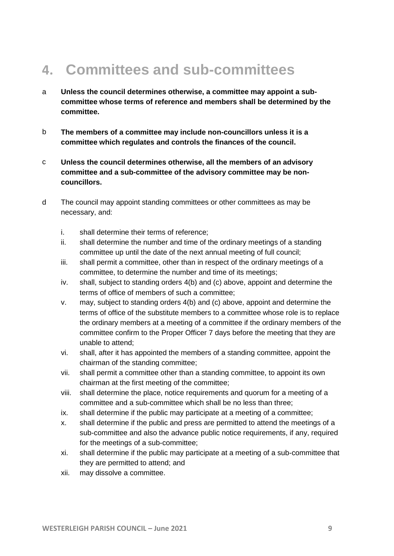## <span id="page-8-0"></span>**4. Committees and sub-committees**

- a **Unless the council determines otherwise, a committee may appoint a subcommittee whose terms of reference and members shall be determined by the committee.**
- b **The members of a committee may include non-councillors unless it is a committee which regulates and controls the finances of the council.**
- c **Unless the council determines otherwise, all the members of an advisory committee and a sub-committee of the advisory committee may be noncouncillors.**
- d The council may appoint standing committees or other committees as may be necessary, and:
	- i. shall determine their terms of reference;
	- ii. shall determine the number and time of the ordinary meetings of a standing committee up until the date of the next annual meeting of full council;
	- iii. shall permit a committee, other than in respect of the ordinary meetings of a committee, to determine the number and time of its meetings;
	- iv. shall, subject to standing orders 4(b) and (c) above, appoint and determine the terms of office of members of such a committee;
	- v. may, subject to standing orders 4(b) and (c) above, appoint and determine the terms of office of the substitute members to a committee whose role is to replace the ordinary members at a meeting of a committee if the ordinary members of the committee confirm to the Proper Officer 7 days before the meeting that they are unable to attend;
	- vi. shall, after it has appointed the members of a standing committee, appoint the chairman of the standing committee;
	- vii. shall permit a committee other than a standing committee, to appoint its own chairman at the first meeting of the committee;
	- viii. shall determine the place, notice requirements and quorum for a meeting of a committee and a sub-committee which shall be no less than three;
	- ix. shall determine if the public may participate at a meeting of a committee;
	- x. shall determine if the public and press are permitted to attend the meetings of a sub-committee and also the advance public notice requirements, if any, required for the meetings of a sub-committee;
	- xi. shall determine if the public may participate at a meeting of a sub-committee that they are permitted to attend; and
	- xii. may dissolve a committee.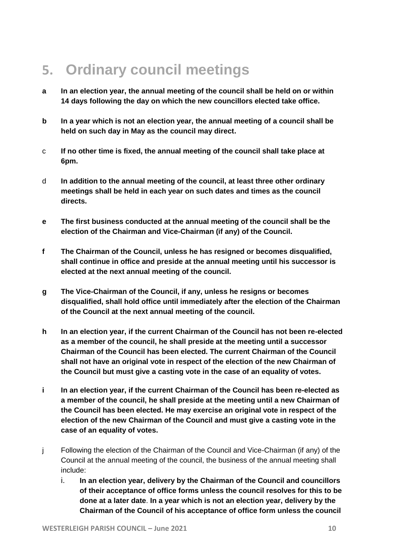## <span id="page-9-0"></span>**5. Ordinary council meetings**

- **a In an election year, the annual meeting of the council shall be held on or within 14 days following the day on which the new councillors elected take office.**
- **b In a year which is not an election year, the annual meeting of a council shall be held on such day in May as the council may direct.**
- c **If no other time is fixed, the annual meeting of the council shall take place at 6pm.**
- d **In addition to the annual meeting of the council, at least three other ordinary meetings shall be held in each year on such dates and times as the council directs.**
- **e The first business conducted at the annual meeting of the council shall be the election of the Chairman and Vice-Chairman (if any) of the Council.**
- **f The Chairman of the Council, unless he has resigned or becomes disqualified, shall continue in office and preside at the annual meeting until his successor is elected at the next annual meeting of the council.**
- **g The Vice-Chairman of the Council, if any, unless he resigns or becomes disqualified, shall hold office until immediately after the election of the Chairman of the Council at the next annual meeting of the council.**
- **h In an election year, if the current Chairman of the Council has not been re-elected as a member of the council, he shall preside at the meeting until a successor Chairman of the Council has been elected. The current Chairman of the Council shall not have an original vote in respect of the election of the new Chairman of the Council but must give a casting vote in the case of an equality of votes.**
- **i In an election year, if the current Chairman of the Council has been re-elected as a member of the council, he shall preside at the meeting until a new Chairman of the Council has been elected. He may exercise an original vote in respect of the election of the new Chairman of the Council and must give a casting vote in the case of an equality of votes.**
- j Following the election of the Chairman of the Council and Vice-Chairman (if any) of the Council at the annual meeting of the council, the business of the annual meeting shall include:
	- i. **In an election year, delivery by the Chairman of the Council and councillors of their acceptance of office forms unless the council resolves for this to be done at a later date**. **In a year which is not an election year, delivery by the Chairman of the Council of his acceptance of office form unless the council**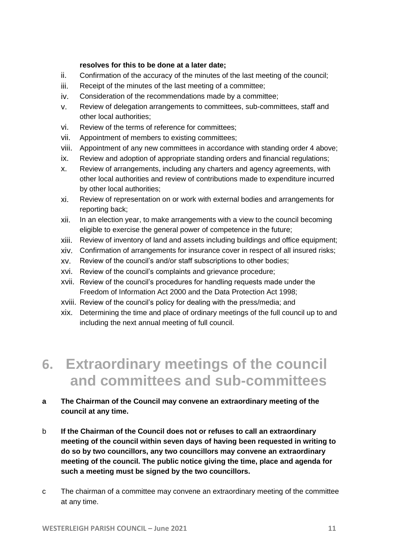#### **resolves for this to be done at a later date;**

- ii. Confirmation of the accuracy of the minutes of the last meeting of the council;
- iii. Receipt of the minutes of the last meeting of a committee;
- iv. Consideration of the recommendations made by a committee;
- v. Review of delegation arrangements to committees, sub-committees, staff and other local authorities;
- vi. Review of the terms of reference for committees;
- vii. Appointment of members to existing committees;
- viii. Appointment of any new committees in accordance with standing order 4 above;
- ix. Review and adoption of appropriate standing orders and financial regulations;
- x. Review of arrangements, including any charters and agency agreements, with other local authorities and review of contributions made to expenditure incurred by other local authorities;
- xi. Review of representation on or work with external bodies and arrangements for reporting back;
- xii. In an election year, to make arrangements with a view to the council becoming eligible to exercise the general power of competence in the future;
- xiii. Review of inventory of land and assets including buildings and office equipment;
- xiv. Confirmation of arrangements for insurance cover in respect of all insured risks;
- xv. Review of the council's and/or staff subscriptions to other bodies;
- xvi. Review of the council's complaints and grievance procedure;
- xvii. Review of the council's procedures for handling requests made under the Freedom of Information Act 2000 and the Data Protection Act 1998;
- xviii. Review of the council's policy for dealing with the press/media; and
- xix. Determining the time and place of ordinary meetings of the full council up to and including the next annual meeting of full council.

#### <span id="page-10-0"></span>**6. Extraordinary meetings of the council and committees and sub-committees**

#### **a The Chairman of the Council may convene an extraordinary meeting of the council at any time.**

- b **If the Chairman of the Council does not or refuses to call an extraordinary meeting of the council within seven days of having been requested in writing to do so by two councillors, any two councillors may convene an extraordinary meeting of the council. The public notice giving the time, place and agenda for such a meeting must be signed by the two councillors.**
- c The chairman of a committee may convene an extraordinary meeting of the committee at any time.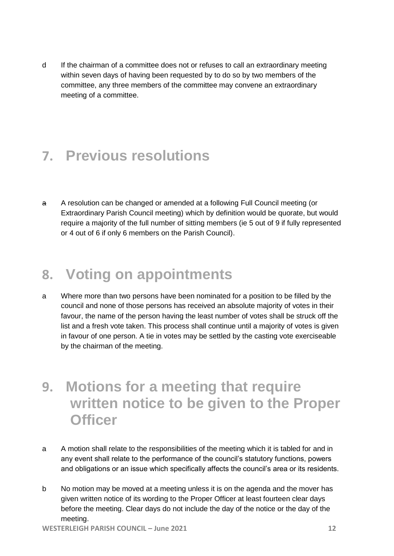d If the chairman of a committee does not or refuses to call an extraordinary meeting within seven days of having been requested by to do so by two members of the committee, any three members of the committee may convene an extraordinary meeting of a committee.

#### <span id="page-11-0"></span>**7. Previous resolutions**

a A resolution can be changed or amended at a following Full Council meeting (or Extraordinary Parish Council meeting) which by definition would be quorate, but would require a majority of the full number of sitting members (ie 5 out of 9 if fully represented or 4 out of 6 if only 6 members on the Parish Council).

#### <span id="page-11-1"></span>**8. Voting on appointments**

- a Where more than two persons have been nominated for a position to be filled by the council and none of those persons has received an absolute majority of votes in their favour, the name of the person having the least number of votes shall be struck off the list and a fresh vote taken. This process shall continue until a majority of votes is given in favour of one person. A tie in votes may be settled by the casting vote exerciseable by the chairman of the meeting.
- <span id="page-11-2"></span>**9. Motions for a meeting that require written notice to be given to the Proper Officer**
- a A motion shall relate to the responsibilities of the meeting which it is tabled for and in any event shall relate to the performance of the council's statutory functions, powers and obligations or an issue which specifically affects the council's area or its residents.
- b No motion may be moved at a meeting unless it is on the agenda and the mover has given written notice of its wording to the Proper Officer at least fourteen clear days before the meeting. Clear days do not include the day of the notice or the day of the meeting.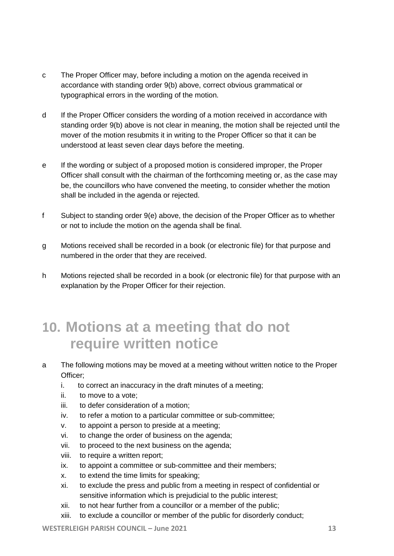- c The Proper Officer may, before including a motion on the agenda received in accordance with standing order 9(b) above, correct obvious grammatical or typographical errors in the wording of the motion.
- d If the Proper Officer considers the wording of a motion received in accordance with standing order 9(b) above is not clear in meaning, the motion shall be rejected until the mover of the motion resubmits it in writing to the Proper Officer so that it can be understood at least seven clear days before the meeting.
- e If the wording or subject of a proposed motion is considered improper, the Proper Officer shall consult with the chairman of the forthcoming meeting or, as the case may be, the councillors who have convened the meeting, to consider whether the motion shall be included in the agenda or rejected.
- f Subject to standing order 9(e) above, the decision of the Proper Officer as to whether or not to include the motion on the agenda shall be final.
- g Motions received shall be recorded in a book (or electronic file) for that purpose and numbered in the order that they are received.
- h Motions rejected shall be recorded in a book (or electronic file) for that purpose with an explanation by the Proper Officer for their rejection.

#### <span id="page-12-0"></span>**10. Motions at a meeting that do not require written notice**

- a The following motions may be moved at a meeting without written notice to the Proper Officer;
	- i. to correct an inaccuracy in the draft minutes of a meeting;
	- ii. to move to a vote;
	- iii. to defer consideration of a motion;
	- iv. to refer a motion to a particular committee or sub-committee;
	- v. to appoint a person to preside at a meeting;
	- vi. to change the order of business on the agenda;
	- vii. to proceed to the next business on the agenda;
	- viii. to require a written report;
	- ix. to appoint a committee or sub-committee and their members;
	- x. to extend the time limits for speaking;
	- xi. to exclude the press and public from a meeting in respect of confidential or sensitive information which is prejudicial to the public interest;
	- xii. to not hear further from a councillor or a member of the public;
	- xiii. to exclude a councillor or member of the public for disorderly conduct;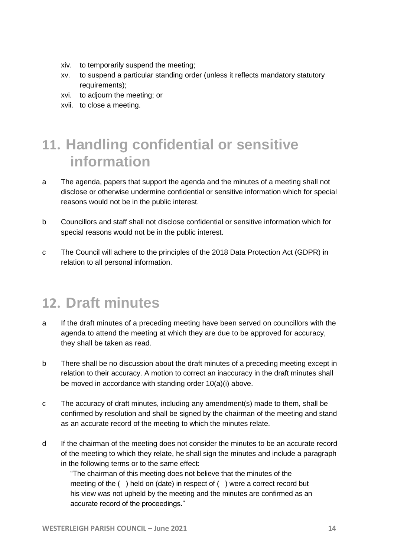- xiv. to temporarily suspend the meeting;
- xv. to suspend a particular standing order (unless it reflects mandatory statutory requirements);
- xvi. to adjourn the meeting; or
- xvii. to close a meeting.

## <span id="page-13-0"></span>**11. Handling confidential or sensitive information**

- a The agenda, papers that support the agenda and the minutes of a meeting shall not disclose or otherwise undermine confidential or sensitive information which for special reasons would not be in the public interest.
- b Councillors and staff shall not disclose confidential or sensitive information which for special reasons would not be in the public interest.
- c The Council will adhere to the principles of the 2018 Data Protection Act (GDPR) in relation to all personal information.

#### <span id="page-13-1"></span>**12. Draft minutes**

- a If the draft minutes of a preceding meeting have been served on councillors with the agenda to attend the meeting at which they are due to be approved for accuracy, they shall be taken as read.
- b There shall be no discussion about the draft minutes of a preceding meeting except in relation to their accuracy. A motion to correct an inaccuracy in the draft minutes shall be moved in accordance with standing order 10(a)(i) above.
- c The accuracy of draft minutes, including any amendment(s) made to them, shall be confirmed by resolution and shall be signed by the chairman of the meeting and stand as an accurate record of the meeting to which the minutes relate.
- d If the chairman of the meeting does not consider the minutes to be an accurate record of the meeting to which they relate, he shall sign the minutes and include a paragraph in the following terms or to the same effect:

"The chairman of this meeting does not believe that the minutes of the meeting of the ( ) held on (date) in respect of ( ) were a correct record but his view was not upheld by the meeting and the minutes are confirmed as an accurate record of the proceedings."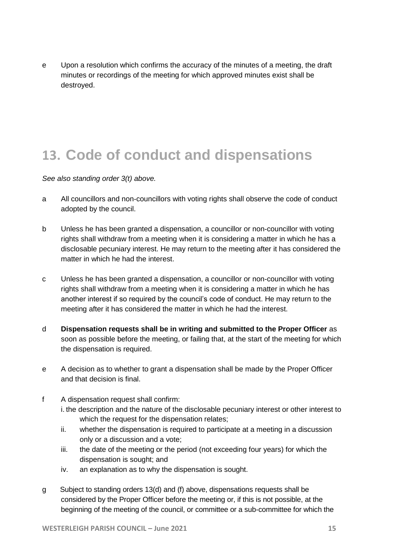e Upon a resolution which confirms the accuracy of the minutes of a meeting, the draft minutes or recordings of the meeting for which approved minutes exist shall be destroyed.

#### <span id="page-14-0"></span>**13. Code of conduct and dispensations**

*See also standing order 3(t) above.* 

- a All councillors and non-councillors with voting rights shall observe the code of conduct adopted by the council.
- b Unless he has been granted a dispensation, a councillor or non-councillor with voting rights shall withdraw from a meeting when it is considering a matter in which he has a disclosable pecuniary interest. He may return to the meeting after it has considered the matter in which he had the interest.
- c Unless he has been granted a dispensation, a councillor or non-councillor with voting rights shall withdraw from a meeting when it is considering a matter in which he has another interest if so required by the council's code of conduct. He may return to the meeting after it has considered the matter in which he had the interest.
- d **Dispensation requests shall be in writing and submitted to the Proper Officer** as soon as possible before the meeting, or failing that, at the start of the meeting for which the dispensation is required.
- e A decision as to whether to grant a dispensation shall be made by the Proper Officer and that decision is final.
- f A dispensation request shall confirm: i. the description and the nature of the disclosable pecuniary interest or other interest to which the request for the dispensation relates;
	- ii. whether the dispensation is required to participate at a meeting in a discussion only or a discussion and a vote;
	- iii. the date of the meeting or the period (not exceeding four years) for which the dispensation is sought; and
	- iv. an explanation as to why the dispensation is sought.
- g Subject to standing orders 13(d) and (f) above, dispensations requests shall be considered by the Proper Officer before the meeting or, if this is not possible, at the beginning of the meeting of the council, or committee or a sub-committee for which the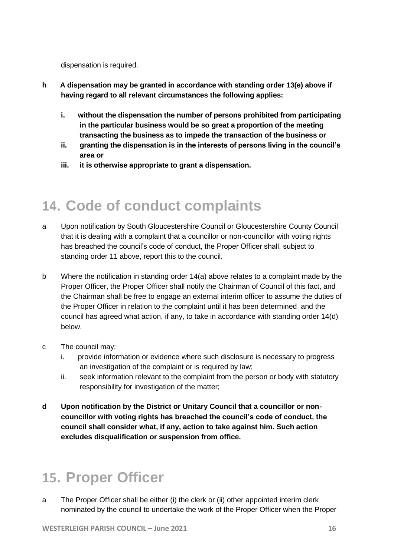dispensation is required.

- **h A dispensation may be granted in accordance with standing order 13(e) above if having regard to all relevant circumstances the following applies:**
	- **i. without the dispensation the number of persons prohibited from participating in the particular business would be so great a proportion of the meeting transacting the business as to impede the transaction of the business or**
	- **ii. granting the dispensation is in the interests of persons living in the council's area or**
	- **iii. it is otherwise appropriate to grant a dispensation.**

#### <span id="page-15-0"></span>**14. Code of conduct complaints**

- a Upon notification by South Gloucestershire Council or Gloucestershire County Council that it is dealing with a complaint that a councillor or non-councillor with voting rights has breached the council's code of conduct, the Proper Officer shall, subject to standing order 11 above, report this to the council.
- b Where the notification in standing order 14(a) above relates to a complaint made by the Proper Officer, the Proper Officer shall notify the Chairman of Council of this fact, and the Chairman shall be free to engage an external interim officer to assume the duties of the Proper Officer in relation to the complaint until it has been determined and the council has agreed what action, if any, to take in accordance with standing order 14(d) below.
- c The council may:
	- i. provide information or evidence where such disclosure is necessary to progress an investigation of the complaint or is required by law;
	- ii. seek information relevant to the complaint from the person or body with statutory responsibility for investigation of the matter;
- **d Upon notification by the District or Unitary Council that a councillor or noncouncillor with voting rights has breached the council's code of conduct, the council shall consider what, if any, action to take against him. Such action excludes disqualification or suspension from office.**

#### <span id="page-15-1"></span>**15. Proper Officer**

a The Proper Officer shall be either (i) the clerk or (ii) other appointed interim clerk nominated by the council to undertake the work of the Proper Officer when the Proper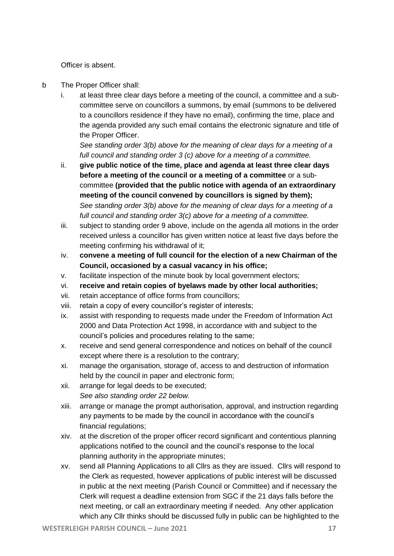Officer is absent.

- b The Proper Officer shall:
	- i. at least three clear days before a meeting of the council, a committee and a subcommittee serve on councillors a summons, by email (summons to be delivered to a councillors residence if they have no email), confirming the time, place and the agenda provided any such email contains the electronic signature and title of the Proper Officer.

*See standing order 3(b) above for the meaning of clear days for a meeting of a full council and standing order 3 (c) above for a meeting of a committee.*

- ii. **give public notice of the time, place and agenda at least three clear days before a meeting of the council or a meeting of a committee** or a subcommittee **(provided that the public notice with agenda of an extraordinary meeting of the council convened by councillors is signed by them);** *See standing order 3(b) above for the meaning of clear days for a meeting of a full council and standing order 3(c) above for a meeting of a committee.*
- iii. subject to standing order 9 above, include on the agenda all motions in the order received unless a councillor has given written notice at least five days before the meeting confirming his withdrawal of it;
- iv. **convene a meeting of full council for the election of a new Chairman of the Council, occasioned by a casual vacancy in his office;**
- v. facilitate inspection of the minute book by local government electors;
- vi. **receive and retain copies of byelaws made by other local authorities;**
- vii. retain acceptance of office forms from councillors;
- viii. retain a copy of every councillor's register of interests;
- ix. assist with responding to requests made under the Freedom of Information Act 2000 and Data Protection Act 1998, in accordance with and subject to the council's policies and procedures relating to the same;
- x. receive and send general correspondence and notices on behalf of the council except where there is a resolution to the contrary;
- xi. manage the organisation, storage of, access to and destruction of information held by the council in paper and electronic form;
- xii. arrange for legal deeds to be executed; *See also standing order 22 below.*
- xiii. arrange or manage the prompt authorisation, approval, and instruction regarding any payments to be made by the council in accordance with the council's financial regulations;
- xiv. at the discretion of the proper officer record significant and contentious planning applications notified to the council and the council's response to the local planning authority in the appropriate minutes;
- xv. send all Planning Applications to all Cllrs as they are issued. Cllrs will respond to the Clerk as requested, however applications of public interest will be discussed in public at the next meeting (Parish Council or Committee) and if necessary the Clerk will request a deadline extension from SGC if the 21 days falls before the next meeting, or call an extraordinary meeting if needed. Any other application which any Cllr thinks should be discussed fully in public can be highlighted to the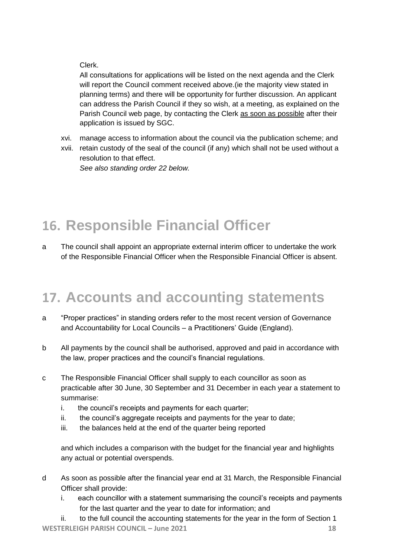#### Clerk.

All consultations for applications will be listed on the next agenda and the Clerk will report the Council comment received above.(ie the majority view stated in planning terms) and there will be opportunity for further discussion. An applicant can address the Parish Council if they so wish, at a meeting, as explained on the Parish Council web page, by contacting the Clerk as soon as possible after their application is issued by SGC.

- xvi. manage access to information about the council via the publication scheme; and
- xvii. retain custody of the seal of the council (if any) which shall not be used without a resolution to that effect.

*See also standing order 22 below.*

## **16. Responsible Financial Officer**

a The council shall appoint an appropriate external interim officer to undertake the work of the Responsible Financial Officer when the Responsible Financial Officer is absent.

#### <span id="page-17-0"></span>**17. Accounts and accounting statements**

- a "Proper practices" in standing orders refer to the most recent version of Governance and Accountability for Local Councils – a Practitioners' Guide (England).
- b All payments by the council shall be authorised, approved and paid in accordance with the law, proper practices and the council's financial regulations.
- c The Responsible Financial Officer shall supply to each councillor as soon as practicable after 30 June, 30 September and 31 December in each year a statement to summarise:
	- i. the council's receipts and payments for each quarter;
	- ii. the council's aggregate receipts and payments for the year to date;
	- iii. the balances held at the end of the quarter being reported

and which includes a comparison with the budget for the financial year and highlights any actual or potential overspends.

- d As soon as possible after the financial year end at 31 March, the Responsible Financial Officer shall provide:
	- i. each councillor with a statement summarising the council's receipts and payments for the last quarter and the year to date for information; and
- **WESTERLEIGH PARISH COUNCIL – June 2021 18** ii. to the full council the accounting statements for the year in the form of Section 1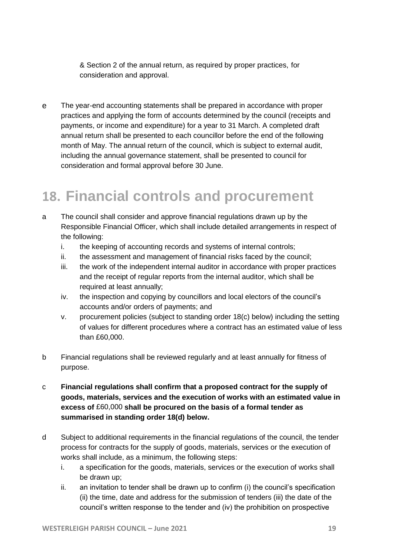& Section 2 of the annual return, as required by proper practices, for consideration and approval.

e The year-end accounting statements shall be prepared in accordance with proper practices and applying the form of accounts determined by the council (receipts and payments, or income and expenditure) for a year to 31 March. A completed draft annual return shall be presented to each councillor before the end of the following month of May. The annual return of the council, which is subject to external audit, including the annual governance statement, shall be presented to council for consideration and formal approval before 30 June.

#### <span id="page-18-0"></span>**18. Financial controls and procurement**

- a The council shall consider and approve financial regulations drawn up by the Responsible Financial Officer, which shall include detailed arrangements in respect of the following:
	- i. the keeping of accounting records and systems of internal controls;
	- ii. the assessment and management of financial risks faced by the council;
	- iii. the work of the independent internal auditor in accordance with proper practices and the receipt of regular reports from the internal auditor, which shall be required at least annually;
	- iv. the inspection and copying by councillors and local electors of the council's accounts and/or orders of payments; and
	- v. procurement policies (subject to standing order 18(c) below) including the setting of values for different procedures where a contract has an estimated value of less than £60,000.
- b Financial regulations shall be reviewed regularly and at least annually for fitness of purpose.
- c **Financial regulations shall confirm that a proposed contract for the supply of goods, materials, services and the execution of works with an estimated value in excess of** £60,000 **shall be procured on the basis of a formal tender as summarised in standing order 18(d) below.**
- d Subject to additional requirements in the financial regulations of the council, the tender process for contracts for the supply of goods, materials, services or the execution of works shall include, as a minimum, the following steps:
	- i. a specification for the goods, materials, services or the execution of works shall be drawn up;
	- ii. an invitation to tender shall be drawn up to confirm (i) the council's specification (ii) the time, date and address for the submission of tenders (iii) the date of the council's written response to the tender and (iv) the prohibition on prospective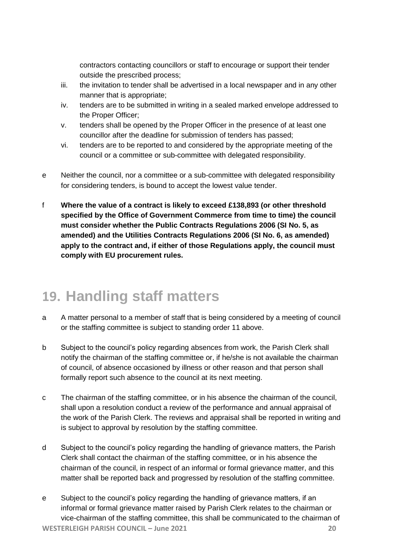contractors contacting councillors or staff to encourage or support their tender outside the prescribed process;

- iii. the invitation to tender shall be advertised in a local newspaper and in any other manner that is appropriate;
- iv. tenders are to be submitted in writing in a sealed marked envelope addressed to the Proper Officer;
- v. tenders shall be opened by the Proper Officer in the presence of at least one councillor after the deadline for submission of tenders has passed;
- vi. tenders are to be reported to and considered by the appropriate meeting of the council or a committee or sub-committee with delegated responsibility.
- e Neither the council, nor a committee or a sub-committee with delegated responsibility for considering tenders, is bound to accept the lowest value tender.
- f **Where the value of a contract is likely to exceed £138,893 (or other threshold specified by the Office of Government Commerce from time to time) the council must consider whether the Public Contracts Regulations 2006 (SI No. 5, as amended) and the Utilities Contracts Regulations 2006 (SI No. 6, as amended) apply to the contract and, if either of those Regulations apply, the council must comply with EU procurement rules.**

## <span id="page-19-0"></span>**19. Handling staff matters**

- a A matter personal to a member of staff that is being considered by a meeting of council or the staffing committee is subject to standing order 11 above.
- b Subject to the council's policy regarding absences from work, the Parish Clerk shall notify the chairman of the staffing committee or, if he/she is not available the chairman of council, of absence occasioned by illness or other reason and that person shall formally report such absence to the council at its next meeting.
- c The chairman of the staffing committee, or in his absence the chairman of the council, shall upon a resolution conduct a review of the performance and annual appraisal of the work of the Parish Clerk. The reviews and appraisal shall be reported in writing and is subject to approval by resolution by the staffing committee.
- d Subject to the council's policy regarding the handling of grievance matters, the Parish Clerk shall contact the chairman of the staffing committee, or in his absence the chairman of the council, in respect of an informal or formal grievance matter, and this matter shall be reported back and progressed by resolution of the staffing committee.
- e Subject to the council's policy regarding the handling of grievance matters, if an informal or formal grievance matter raised by Parish Clerk relates to the chairman or vice-chairman of the staffing committee, this shall be communicated to the chairman of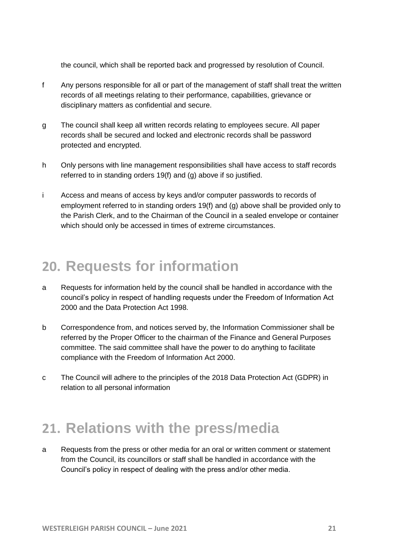the council, which shall be reported back and progressed by resolution of Council.

- f Any persons responsible for all or part of the management of staff shall treat the written records of all meetings relating to their performance, capabilities, grievance or disciplinary matters as confidential and secure.
- g The council shall keep all written records relating to employees secure. All paper records shall be secured and locked and electronic records shall be password protected and encrypted.
- h Only persons with line management responsibilities shall have access to staff records referred to in standing orders 19(f) and (g) above if so justified.
- i Access and means of access by keys and/or computer passwords to records of employment referred to in standing orders 19(f) and (g) above shall be provided only to the Parish Clerk, and to the Chairman of the Council in a sealed envelope or container which should only be accessed in times of extreme circumstances.

#### <span id="page-20-0"></span>**20. Requests for information**

- a Requests for information held by the council shall be handled in accordance with the council's policy in respect of handling requests under the Freedom of Information Act 2000 and the Data Protection Act 1998.
- b Correspondence from, and notices served by, the Information Commissioner shall be referred by the Proper Officer to the chairman of the Finance and General Purposes committee. The said committee shall have the power to do anything to facilitate compliance with the Freedom of Information Act 2000.
- c The Council will adhere to the principles of the 2018 Data Protection Act (GDPR) in relation to all personal information

#### <span id="page-20-1"></span>**21. Relations with the press/media**

a Requests from the press or other media for an oral or written comment or statement from the Council, its councillors or staff shall be handled in accordance with the Council's policy in respect of dealing with the press and/or other media.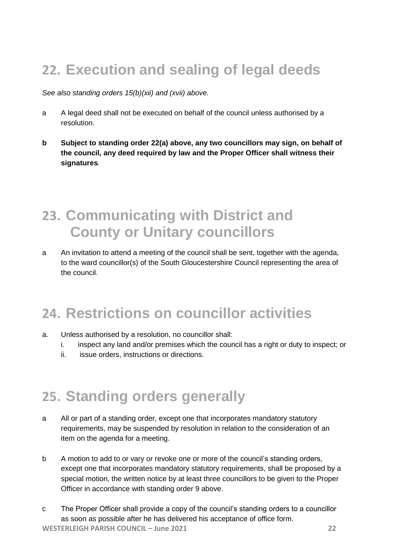## <span id="page-21-0"></span>**22. Execution and sealing of legal deeds**

#### *See also standing orders 15(b)(xii) and (xvii) above.*

- a A legal deed shall not be executed on behalf of the council unless authorised by a resolution.
- **b Subject to standing order 22(a) above, any two councillors may sign, on behalf of the council, any deed required by law and the Proper Officer shall witness their signatures***.*

## <span id="page-21-1"></span>**23. Communicating with District and County or Unitary councillors**

a An invitation to attend a meeting of the council shall be sent, together with the agenda, to the ward councillor(s) of the South Gloucestershire Council representing the area of the council.

## <span id="page-21-2"></span>**24. Restrictions on councillor activities**

- a. Unless authorised by a resolution, no councillor shall:
	- i. inspect any land and/or premises which the council has a right or duty to inspect; or
	- ii. issue orders, instructions or directions.

#### <span id="page-21-3"></span>**25. Standing orders generally**

- a All or part of a standing order, except one that incorporates mandatory statutory requirements, may be suspended by resolution in relation to the consideration of an item on the agenda for a meeting.
- b A motion to add to or vary or revoke one or more of the council's standing orders, except one that incorporates mandatory statutory requirements, shall be proposed by a special motion, the written notice by at least three councillors to be given to the Proper Officer in accordance with standing order 9 above.
- **WESTERLEIGH PARISH COUNCIL – June 2021 22** c The Proper Officer shall provide a copy of the council's standing orders to a councillor as soon as possible after he has delivered his acceptance of office form.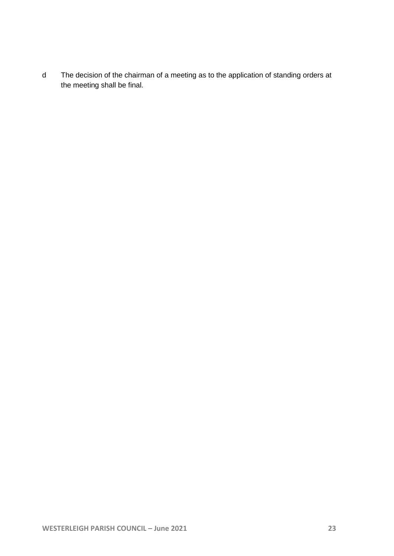d The decision of the chairman of a meeting as to the application of standing orders at the meeting shall be final.